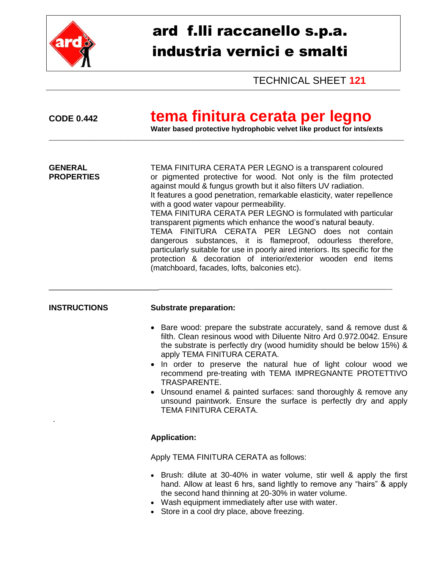

.

## ard f.lli raccanello s.p.a. industria vernici e smalti

TECHNICAL SHEET **121**

| <b>CODE 0.442</b>                   | tema finitura cerata per legno<br>Water based protective hydrophobic velvet like product for ints/exts                                                                                                                                                                                                                                                                                                                                                                                                                                                                                                                                                                                                                                                                     |  |  |
|-------------------------------------|----------------------------------------------------------------------------------------------------------------------------------------------------------------------------------------------------------------------------------------------------------------------------------------------------------------------------------------------------------------------------------------------------------------------------------------------------------------------------------------------------------------------------------------------------------------------------------------------------------------------------------------------------------------------------------------------------------------------------------------------------------------------------|--|--|
| <b>GENERAL</b><br><b>PROPERTIES</b> | TEMA FINITURA CERATA PER LEGNO is a transparent coloured<br>or pigmented protective for wood. Not only is the film protected<br>against mould & fungus growth but it also filters UV radiation.<br>It features a good penetration, remarkable elasticity, water repellence<br>with a good water vapour permeability.<br>TEMA FINITURA CERATA PER LEGNO is formulated with particular<br>transparent pigments which enhance the wood's natural beauty.<br>TEMA FINITURA CERATA PER LEGNO does not contain<br>dangerous substances, it is flameproof, odourless therefore,<br>particularly suitable for use in poorly aired interiors. Its specific for the<br>protection & decoration of interior/exterior wooden end items<br>(matchboard, facades, lofts, balconies etc). |  |  |
| <b>INSTRUCTIONS</b>                 | <b>Substrate preparation:</b>                                                                                                                                                                                                                                                                                                                                                                                                                                                                                                                                                                                                                                                                                                                                              |  |  |
|                                     | • Bare wood: prepare the substrate accurately, sand & remove dust &<br>filth, Clean resinous wood with Diluente Nitro Ard 0.972.0042. Ensure<br>the substrate is perfectly dry (wood humidity should be below 15%) &<br>apply TEMA FINITURA CERATA.                                                                                                                                                                                                                                                                                                                                                                                                                                                                                                                        |  |  |

- In order to preserve the natural hue of light colour wood we recommend pre-treating with TEMA IMPREGNANTE PROTETTIVO TRASPARENTE.
- Unsound enamel & painted surfaces: sand thoroughly & remove any unsound paintwork. Ensure the surface is perfectly dry and apply TEMA FINITURA CERATA.

## **Application:**

Apply TEMA FINITURA CERATA as follows:

- Brush: dilute at 30-40% in water volume, stir well & apply the first hand. Allow at least 6 hrs, sand lightly to remove any "hairs" & apply the second hand thinning at 20-30% in water volume.
- Wash equipment immediately after use with water.
- Store in a cool dry place, above freezing.